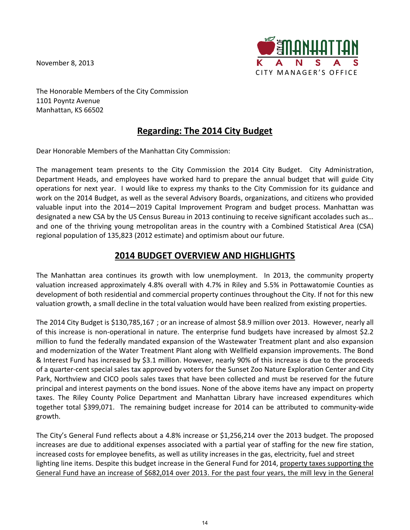November 8, 2013



The Honorable Members of the City Commission 1101 Poyntz Avenue Manhattan, KS 66502

# **Regarding: The 2014 City Budget**

Dear Honorable Members of the Manhattan City Commission:

The management team presents to the City Commission the 2014 City Budget. City Administration, Department Heads, and employees have worked hard to prepare the annual budget that will guide City operations for next year. I would like to express my thanks to the City Commission for its guidance and work on the 2014 Budget, as well as the several Advisory Boards, organizations, and citizens who provided valuable input into the 2014—2019 Capital Improvement Program and budget process. Manhattan was designated a new CSA by the US Census Bureau in 2013 continuing to receive significant accolades such as… and one of the thriving young metropolitan areas in the country with a Combined Statistical Area (CSA) regional population of 135,823 (2012 estimate) and optimism about our future.

# **2014 BUDGET OVERVIEW AND HIGHLIGHTS**

The Manhattan area continues its growth with low unemployment. In 2013, the community property valuation increased approximately 4.8% overall with 4.7% in Riley and 5.5% in Pottawatomie Counties as development of both residential and commercial property continues throughout the City. If not for this new valuation growth, a small decline in the total valuation would have been realized from existing properties.

The 2014 City Budget is \$130,785,167 ; or an increase of almost \$8.9 million over 2013. However, nearly all of this increase is non-operational in nature. The enterprise fund budgets have increased by almost \$2.2 million to fund the federally mandated expansion of the Wastewater Treatment plant and also expansion and modernization of the Water Treatment Plant along with Wellfield expansion improvements. The Bond & Interest Fund has increased by \$3.1 million. However, nearly 90% of this increase is due to the proceeds of a quarter-cent special sales tax approved by voters for the Sunset Zoo Nature Exploration Center and City Park, Northview and CICO pools sales taxes that have been collected and must be reserved for the future principal and interest payments on the bond issues. None of the above items have any impact on property taxes. The Riley County Police Department and Manhattan Library have increased expenditures which together total \$399,071. The remaining budget increase for 2014 can be attributed to community-wide growth.

The City's General Fund reflects about a 4.8% increase or \$1,256,214 over the 2013 budget. The proposed increases are due to additional expenses associated with a partial year of staffing for the new fire station, increased costs for employee benefits, as well as utility increases in the gas, electricity, fuel and street lighting line items. Despite this budget increase in the General Fund for 2014, property taxes supporting the General Fund have an increase of \$682,014 over 2013. For the past four years, the mill levy in the General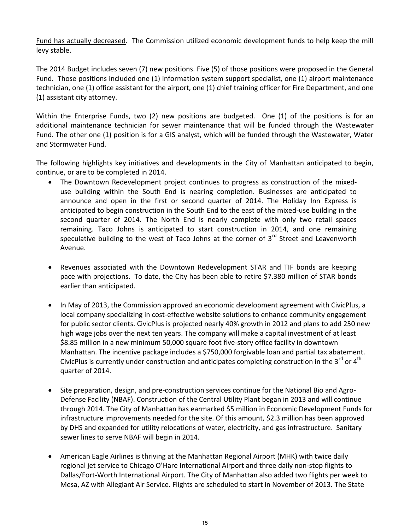Fund has actually decreased. The Commission utilized economic development funds to help keep the mill levy stable.

The 2014 Budget includes seven (7) new positions. Five (5) of those positions were proposed in the General Fund. Those positions included one (1) information system support specialist, one (1) airport maintenance technician, one (1) office assistant for the airport, one (1) chief training officer for Fire Department, and one (1) assistant city attorney.

Within the Enterprise Funds, two (2) new positions are budgeted. One (1) of the positions is for an additional maintenance technician for sewer maintenance that will be funded through the Wastewater Fund. The other one (1) position is for a GIS analyst, which will be funded through the Wastewater, Water and Stormwater Fund.

The following highlights key initiatives and developments in the City of Manhattan anticipated to begin, continue, or are to be completed in 2014.

- The Downtown Redevelopment project continues to progress as construction of the mixeduse building within the South End is nearing completion. Businesses are anticipated to announce and open in the first or second quarter of 2014. The Holiday Inn Express is anticipated to begin construction in the South End to the east of the mixed-use building in the second quarter of 2014. The North End is nearly complete with only two retail spaces remaining. Taco Johns is anticipated to start construction in 2014, and one remaining speculative building to the west of Taco Johns at the corner of  $3<sup>rd</sup>$  Street and Leavenworth Avenue.
- Revenues associated with the Downtown Redevelopment STAR and TIF bonds are keeping pace with projections. To date, the City has been able to retire \$7.380 million of STAR bonds earlier than anticipated.
- In May of 2013, the Commission approved an economic development agreement with CivicPlus, a local company specializing in cost-effective website solutions to enhance community engagement for public sector clients. CivicPlus is projected nearly 40% growth in 2012 and plans to add 250 new high wage jobs over the next ten years. The company will make a capital investment of at least \$8.85 million in a new minimum 50,000 square foot five-story office facility in downtown Manhattan. The incentive package includes a \$750,000 forgivable loan and partial tax abatement. CivicPlus is currently under construction and anticipates completing construction in the 3<sup>rd</sup> or 4<sup>th</sup> quarter of 2014.
- Site preparation, design, and pre-construction services continue for the National Bio and Agro-Defense Facility (NBAF). Construction of the Central Utility Plant began in 2013 and will continue through 2014. The City of Manhattan has earmarked \$5 million in Economic Development Funds for infrastructure improvements needed for the site. Of this amount, \$2.3 million has been approved by DHS and expanded for utility relocations of water, electricity, and gas infrastructure. Sanitary sewer lines to serve NBAF will begin in 2014.
- American Eagle Airlines is thriving at the Manhattan Regional Airport (MHK) with twice daily regional jet service to Chicago O'Hare International Airport and three daily non-stop flights to Dallas/Fort-Worth International Airport. The City of Manhattan also added two flights per week to Mesa, AZ with Allegiant Air Service. Flights are scheduled to start in November of 2013. The State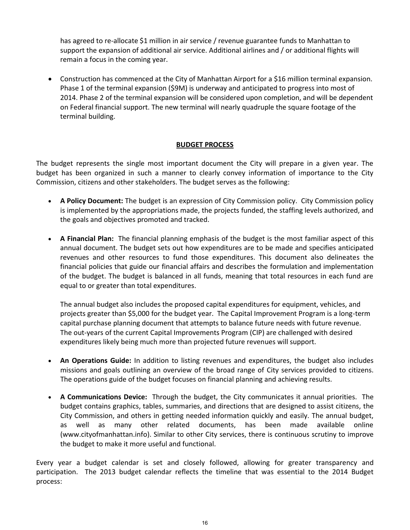has agreed to re-allocate \$1 million in air service / revenue guarantee funds to Manhattan to support the expansion of additional air service. Additional airlines and / or additional flights will remain a focus in the coming year.

 Construction has commenced at the City of Manhattan Airport for a \$16 million terminal expansion. Phase 1 of the terminal expansion (\$9M) is underway and anticipated to progress into most of 2014. Phase 2 of the terminal expansion will be considered upon completion, and will be dependent on Federal financial support. The new terminal will nearly quadruple the square footage of the terminal building.

## **BUDGET PROCESS**

The budget represents the single most important document the City will prepare in a given year. The budget has been organized in such a manner to clearly convey information of importance to the City Commission, citizens and other stakeholders. The budget serves as the following:

- **A Policy Document:** The budget is an expression of City Commission policy. City Commission policy is implemented by the appropriations made, the projects funded, the staffing levels authorized, and the goals and objectives promoted and tracked.
- **A Financial Plan:** The financial planning emphasis of the budget is the most familiar aspect of this annual document. The budget sets out how expenditures are to be made and specifies anticipated revenues and other resources to fund those expenditures. This document also delineates the financial policies that guide our financial affairs and describes the formulation and implementation of the budget. The budget is balanced in all funds, meaning that total resources in each fund are equal to or greater than total expenditures.

The annual budget also includes the proposed capital expenditures for equipment, vehicles, and projects greater than \$5,000 for the budget year. The Capital Improvement Program is a long-term capital purchase planning document that attempts to balance future needs with future revenue. The out-years of the current Capital Improvements Program (CIP) are challenged with desired expenditures likely being much more than projected future revenues will support.

- **An Operations Guide:** In addition to listing revenues and expenditures, the budget also includes missions and goals outlining an overview of the broad range of City services provided to citizens. The operations guide of the budget focuses on financial planning and achieving results.
- **A Communications Device:** Through the budget, the City communicates it annual priorities. The budget contains graphics, tables, summaries, and directions that are designed to assist citizens, the City Commission, and others in getting needed information quickly and easily. The annual budget, as well as many other related documents, has been made available online (www.cityofmanhattan.info). Similar to other City services, there is continuous scrutiny to improve the budget to make it more useful and functional.

Every year a budget calendar is set and closely followed, allowing for greater transparency and participation. The 2013 budget calendar reflects the timeline that was essential to the 2014 Budget process: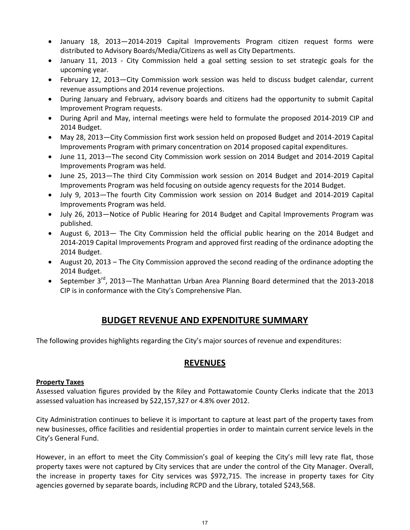- January 18, 2013—2014-2019 Capital Improvements Program citizen request forms were distributed to Advisory Boards/Media/Citizens as well as City Departments.
- January 11, 2013 City Commission held a goal setting session to set strategic goals for the upcoming year.
- February 12, 2013—City Commission work session was held to discuss budget calendar, current revenue assumptions and 2014 revenue projections.
- During January and February, advisory boards and citizens had the opportunity to submit Capital Improvement Program requests.
- During April and May, internal meetings were held to formulate the proposed 2014-2019 CIP and 2014 Budget.
- May 28, 2013—City Commission first work session held on proposed Budget and 2014-2019 Capital Improvements Program with primary concentration on 2014 proposed capital expenditures.
- June 11, 2013—The second City Commission work session on 2014 Budget and 2014-2019 Capital Improvements Program was held.
- June 25, 2013—The third City Commission work session on 2014 Budget and 2014-2019 Capital Improvements Program was held focusing on outside agency requests for the 2014 Budget.
- July 9, 2013—The fourth City Commission work session on 2014 Budget and 2014-2019 Capital Improvements Program was held.
- July 26, 2013—Notice of Public Hearing for 2014 Budget and Capital Improvements Program was published.
- August 6, 2013— The City Commission held the official public hearing on the 2014 Budget and 2014-2019 Capital Improvements Program and approved first reading of the ordinance adopting the 2014 Budget.
- August 20, 2013 The City Commission approved the second reading of the ordinance adopting the 2014 Budget.
- September  $3^{rd}$ , 2013—The Manhattan Urban Area Planning Board determined that the 2013-2018 CIP is in conformance with the City's Comprehensive Plan.

# **BUDGET REVENUE AND EXPENDITURE SUMMARY**

The following provides highlights regarding the City's major sources of revenue and expenditures:

## **REVENUES**

## **Property Taxes**

Assessed valuation figures provided by the Riley and Pottawatomie County Clerks indicate that the 2013 assessed valuation has increased by \$22,157,327 or 4.8% over 2012.

City Administration continues to believe it is important to capture at least part of the property taxes from new businesses, office facilities and residential properties in order to maintain current service levels in the City's General Fund.

However, in an effort to meet the City Commission's goal of keeping the City's mill levy rate flat, those property taxes were not captured by City services that are under the control of the City Manager. Overall, the increase in property taxes for City services was \$972,715. The increase in property taxes for City agencies governed by separate boards, including RCPD and the Library, totaled \$243,568.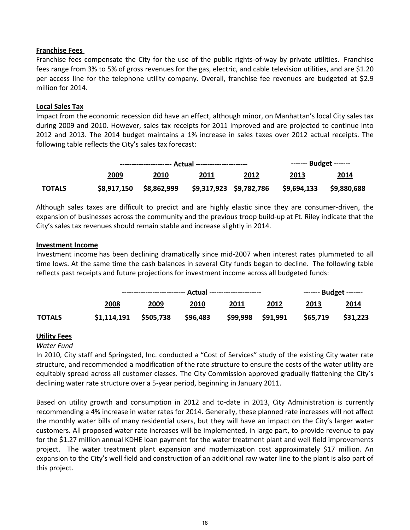### **Franchise Fees**

Franchise fees compensate the City for the use of the public rights-of-way by private utilities. Franchise fees range from 3% to 5% of gross revenues for the gas, electric, and cable television utilities, and are \$1.20 per access line for the telephone utility company. Overall, franchise fee revenues are budgeted at \$2.9 million for 2014.

### **Local Sales Tax**

Impact from the economic recession did have an effect, although minor, on Manhattan's local City sales tax during 2009 and 2010. However, sales tax receipts for 2011 improved and are projected to continue into 2012 and 2013. The 2014 budget maintains a 1% increase in sales taxes over 2012 actual receipts. The following table reflects the City's sales tax forecast:

|               |             |                                      |      |      |                          | $----Eudget$ ------- |  |  |
|---------------|-------------|--------------------------------------|------|------|--------------------------|----------------------|--|--|
|               | 2009        | 2010                                 | 2011 | 2012 | 2013                     | <u> 2014</u>         |  |  |
| <b>TOTALS</b> | \$8,917,150 | \$8,862,999  \$9,317,923 \$9,782,786 |      |      | \$9,694,133  \$9,880,688 |                      |  |  |

Although sales taxes are difficult to predict and are highly elastic since they are consumer-driven, the expansion of businesses across the community and the previous troop build-up at Ft. Riley indicate that the City's sales tax revenues should remain stable and increase slightly in 2014.

### **Investment Income**

Investment income has been declining dramatically since mid-2007 when interest rates plummeted to all time lows. At the same time the cash balances in several City funds began to decline. The following table reflects past receipts and future projections for investment income across all budgeted funds:

|               | 2008                    | 2009 | 2010     | 2011 | 2012              | 2013     | 2014     |  |
|---------------|-------------------------|------|----------|------|-------------------|----------|----------|--|
| <b>TOTALS</b> | $$1,114,191$ $$505,738$ |      | \$96,483 |      | \$99,998 \$91,991 | \$65,719 | \$31,223 |  |

## **Utility Fees**

### *Water Fund*

In 2010, City staff and Springsted, Inc. conducted a "Cost of Services" study of the existing City water rate structure, and recommended a modification of the rate structure to ensure the costs of the water utility are equitably spread across all customer classes. The City Commission approved gradually flattening the City's declining water rate structure over a 5-year period, beginning in January 2011.

Based on utility growth and consumption in 2012 and to-date in 2013, City Administration is currently recommending a 4% increase in water rates for 2014. Generally, these planned rate increases will not affect the monthly water bills of many residential users, but they will have an impact on the City's larger water customers. All proposed water rate increases will be implemented, in large part, to provide revenue to pay for the \$1.27 million annual KDHE loan payment for the water treatment plant and well field improvements project. The water treatment plant expansion and modernization cost approximately \$17 million. An expansion to the City's well field and construction of an additional raw water line to the plant is also part of this project.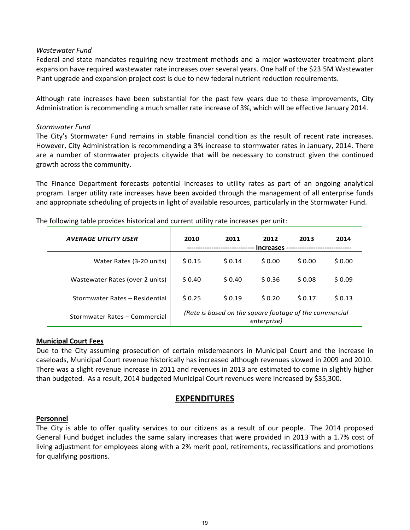### *Wastewater Fund*

Federal and state mandates requiring new treatment methods and a major wastewater treatment plant expansion have required wastewater rate increases over several years. One half of the \$23.5M Wastewater Plant upgrade and expansion project cost is due to new federal nutrient reduction requirements.

Although rate increases have been substantial for the past few years due to these improvements, City Administration is recommending a much smaller rate increase of 3%, which will be effective January 2014.

#### *Stormwater Fund*

The City's Stormwater Fund remains in stable financial condition as the result of recent rate increases. However, City Administration is recommending a 3% increase to stormwater rates in January, 2014. There are a number of stormwater projects citywide that will be necessary to construct given the continued growth across the community.

The Finance Department forecasts potential increases to utility rates as part of an ongoing analytical program. Larger utility rate increases have been avoided through the management of all enterprise funds and appropriate scheduling of projects in light of available resources, particularly in the Stormwater Fund.

| <b>AVERAGE UTILITY USER</b>     | 2010                                                                  | 2011   | 2012<br>Increases - | 2013   | 2014   |
|---------------------------------|-----------------------------------------------------------------------|--------|---------------------|--------|--------|
| Water Rates (3-20 units)        | \$0.15                                                                | \$0.14 | \$0.00              | \$0.00 | \$0.00 |
| Wastewater Rates (over 2 units) | \$0.40                                                                | \$0.40 | \$0.36              | \$0.08 | \$0.09 |
| Stormwater Rates - Residential  | 50.25                                                                 | \$0.19 | \$0.20              | 50.17  | \$0.13 |
| Stormwater Rates - Commercial   | (Rate is based on the square footage of the commercial<br>enterprise) |        |                     |        |        |

The following table provides historical and current utility rate increases per unit:

#### **Municipal Court Fees**

Due to the City assuming prosecution of certain misdemeanors in Municipal Court and the increase in caseloads, Municipal Court revenue historically has increased although revenues slowed in 2009 and 2010. There was a slight revenue increase in 2011 and revenues in 2013 are estimated to come in slightly higher than budgeted. As a result, 2014 budgeted Municipal Court revenues were increased by \$35,300.

## **EXPENDITURES**

### **Personnel**

The City is able to offer quality services to our citizens as a result of our people. The 2014 proposed General Fund budget includes the same salary increases that were provided in 2013 with a 1.7% cost of living adjustment for employees along with a 2% merit pool, retirements, reclassifications and promotions for qualifying positions.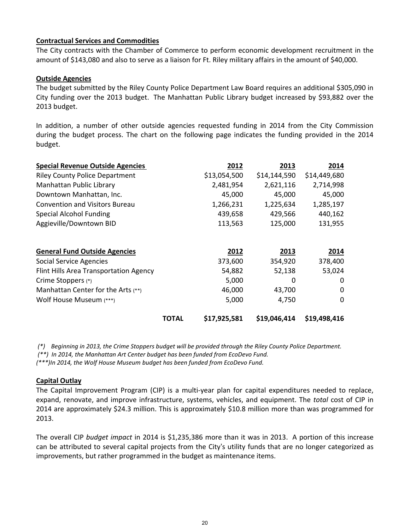### **Contractual Services and Commodities**

The City contracts with the Chamber of Commerce to perform economic development recruitment in the amount of \$143,080 and also to serve as a liaison for Ft. Riley military affairs in the amount of \$40,000.

### **Outside Agencies**

The budget submitted by the Riley County Police Department Law Board requires an additional \$305,090 in City funding over the 2013 budget. The Manhattan Public Library budget increased by \$93,882 over the 2013 budget.

In addition, a number of other outside agencies requested funding in 2014 from the City Commission during the budget process. The chart on the following page indicates the funding provided in the 2014 budget.

| <b>Special Revenue Outside Agencies</b> |              | 2012         | 2013         | 2014         |
|-----------------------------------------|--------------|--------------|--------------|--------------|
| <b>Riley County Police Department</b>   |              | \$13,054,500 | \$14,144,590 | \$14,449,680 |
| Manhattan Public Library                |              | 2,481,954    | 2,621,116    | 2,714,998    |
| Downtown Manhattan, Inc.                |              | 45,000       | 45,000       | 45,000       |
| <b>Convention and Visitors Bureau</b>   |              | 1,266,231    | 1,225,634    | 1,285,197    |
| <b>Special Alcohol Funding</b>          |              | 439,658      | 429,566      | 440,162      |
| Aggieville/Downtown BID                 |              | 113,563      | 125,000      | 131,955      |
|                                         |              |              |              |              |
| <b>General Fund Outside Agencies</b>    |              | 2012         | 2013         | 2014         |
| <b>Social Service Agencies</b>          |              | 373,600      | 354,920      | 378,400      |
| Flint Hills Area Transportation Agency  |              | 54,882       | 52,138       | 53,024       |
| Crime Stoppers (*)                      |              | 5,000        | 0            | $\Omega$     |
| Manhattan Center for the Arts (**)      |              | 46,000       | 43,700       | $\Omega$     |
| Wolf House Museum (***)                 |              | 5,000        | 4,750        | 0            |
|                                         | <b>TOTAL</b> | \$17,925,581 | \$19,046,414 | \$19,498,416 |

(\*) Beginning in 2013, the Crime Stoppers budget will be provided through the Riley County Police Department. *(\*\*) In 2014, the Manhattan Art Center budget has been funded from EcoDevo Fund.* 

*(\*\*\*)In 2014, the Wolf House Museum budget has been funded from EcoDevo Fund.*

### **Capital Outlay**

The Capital Improvement Program (CIP) is a multi‐year plan for capital expenditures needed to replace, expand, renovate, and improve infrastructure, systems, vehicles, and equipment. The *total* cost of CIP in 2014 are approximately \$24.3 million. This is approximately \$10.8 million more than was programmed for 2013.

The overall CIP *budget impact* in 2014 is \$1,235,386 more than it was in 2013. A portion of this increase can be attributed to several capital projects from the City's utility funds that are no longer categorized as improvements, but rather programmed in the budget as maintenance items.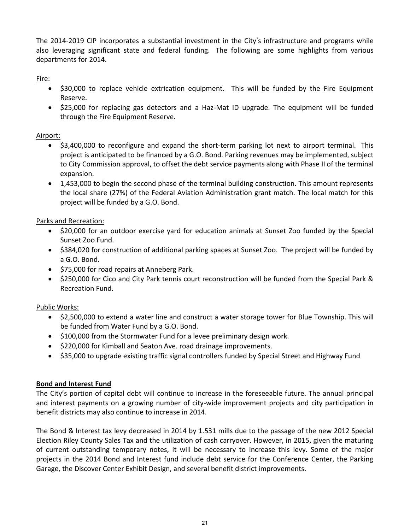The 2014-2019 CIP incorporates a substantial investment in the City's infrastructure and programs while also leveraging significant state and federal funding. The following are some highlights from various departments for 2014.

Fire:

- \$30,000 to replace vehicle extrication equipment. This will be funded by the Fire Equipment Reserve.
- \$25,000 for replacing gas detectors and a Haz-Mat ID upgrade. The equipment will be funded through the Fire Equipment Reserve.

## Airport:

- \$3,400,000 to reconfigure and expand the short-term parking lot next to airport terminal. This project is anticipated to be financed by a G.O. Bond. Parking revenues may be implemented, subject to City Commission approval, to offset the debt service payments along with Phase II of the terminal expansion.
- 1,453,000 to begin the second phase of the terminal building construction. This amount represents the local share (27%) of the Federal Aviation Administration grant match. The local match for this project will be funded by a G.O. Bond.

Parks and Recreation:

- \$20,000 for an outdoor exercise yard for education animals at Sunset Zoo funded by the Special Sunset Zoo Fund.
- \$384,020 for construction of additional parking spaces at Sunset Zoo. The project will be funded by a G.O. Bond.
- \$75,000 for road repairs at Anneberg Park.
- \$250,000 for Cico and City Park tennis court reconstruction will be funded from the Special Park & Recreation Fund.

## Public Works:

- \$2,500,000 to extend a water line and construct a water storage tower for Blue Township. This will be funded from Water Fund by a G.O. Bond.
- \$100,000 from the Stormwater Fund for a levee preliminary design work.
- $\bullet$  \$220,000 for Kimball and Seaton Ave. road drainage improvements.
- \$35,000 to upgrade existing traffic signal controllers funded by Special Street and Highway Fund

## **Bond and Interest Fund**

The City's portion of capital debt will continue to increase in the foreseeable future. The annual principal and interest payments on a growing number of city-wide improvement projects and city participation in benefit districts may also continue to increase in 2014.

The Bond & Interest tax levy decreased in 2014 by 1.531 mills due to the passage of the new 2012 Special Election Riley County Sales Tax and the utilization of cash carryover. However, in 2015, given the maturing of current outstanding temporary notes, it will be necessary to increase this levy. Some of the major projects in the 2014 Bond and Interest fund include debt service for the Conference Center, the Parking Garage, the Discover Center Exhibit Design, and several benefit district improvements.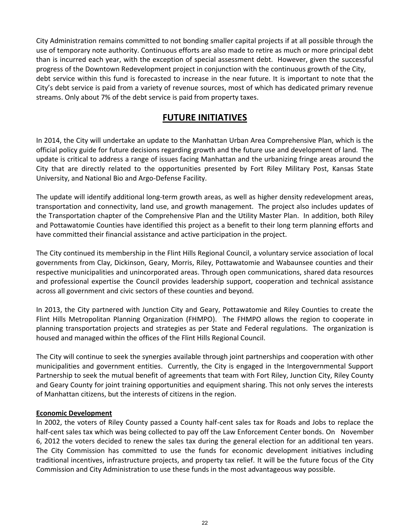City Administration remains committed to not bonding smaller capital projects if at all possible through the use of temporary note authority. Continuous efforts are also made to retire as much or more principal debt than is incurred each year, with the exception of special assessment debt. However, given the successful progress of the Downtown Redevelopment project in conjunction with the continuous growth of the City, debt service within this fund is forecasted to increase in the near future. It is important to note that the City's debt service is paid from a variety of revenue sources, most of which has dedicated primary revenue streams. Only about 7% of the debt service is paid from property taxes.

# **FUTURE INITIATIVES**

In 2014, the City will undertake an update to the Manhattan Urban Area Comprehensive Plan, which is the official policy guide for future decisions regarding growth and the future use and development of land. The update is critical to address a range of issues facing Manhattan and the urbanizing fringe areas around the City that are directly related to the opportunities presented by Fort Riley Military Post, Kansas State University, and National Bio and Argo-Defense Facility.

The update will identify additional long-term growth areas, as well as higher density redevelopment areas, transportation and connectivity, land use, and growth management. The project also includes updates of the Transportation chapter of the Comprehensive Plan and the Utility Master Plan. In addition, both Riley and Pottawatomie Counties have identified this project as a benefit to their long term planning efforts and have committed their financial assistance and active participation in the project.

The City continued its membership in the Flint Hills Regional Council, a voluntary service association of local governments from Clay, Dickinson, Geary, Morris, Riley, Pottawatomie and Wabaunsee counties and their respective municipalities and unincorporated areas. Through open communications, shared data resources and professional expertise the Council provides leadership support, cooperation and technical assistance across all government and civic sectors of these counties and beyond.

In 2013, the City partnered with Junction City and Geary, Pottawatomie and Riley Counties to create the Flint Hills Metropolitan Planning Organization (FHMPO). The FHMPO allows the region to cooperate in planning transportation projects and strategies as per State and Federal regulations. The organization is housed and managed within the offices of the Flint Hills Regional Council.

The City will continue to seek the synergies available through joint partnerships and cooperation with other municipalities and government entities. Currently, the City is engaged in the Intergovernmental Support Partnership to seek the mutual benefit of agreements that team with Fort Riley, Junction City, Riley County and Geary County for joint training opportunities and equipment sharing. This not only serves the interests of Manhattan citizens, but the interests of citizens in the region.

## **Economic Development**

In 2002, the voters of Riley County passed a County half-cent sales tax for Roads and Jobs to replace the half-cent sales tax which was being collected to pay off the Law Enforcement Center bonds. On November 6, 2012 the voters decided to renew the sales tax during the general election for an additional ten years. The City Commission has committed to use the funds for economic development initiatives including traditional incentives, infrastructure projects, and property tax relief. It will be the future focus of the City Commission and City Administration to use these funds in the most advantageous way possible.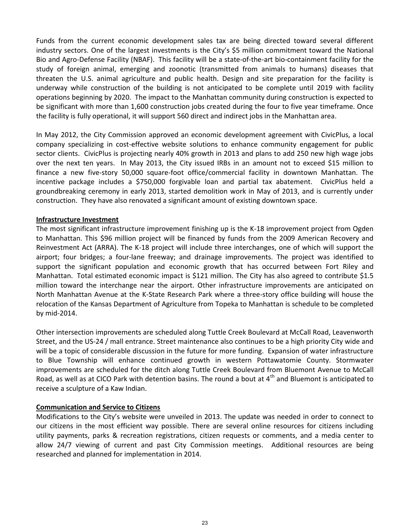Funds from the current economic development sales tax are being directed toward several different industry sectors. One of the largest investments is the City's \$5 million commitment toward the National Bio and Agro-Defense Facility (NBAF). This facility will be a state-of-the-art bio-containment facility for the study of foreign animal, emerging and zoonotic (transmitted from animals to humans) diseases that threaten the U.S. animal agriculture and public health. Design and site preparation for the facility is underway while construction of the building is not anticipated to be complete until 2019 with facility operations beginning by 2020. The impact to the Manhattan community during construction is expected to be significant with more than 1,600 construction jobs created during the four to five year timeframe. Once the facility is fully operational, it will support 560 direct and indirect jobs in the Manhattan area.

In May 2012, the City Commission approved an economic development agreement with CivicPlus, a local company specializing in cost-effective website solutions to enhance community engagement for public sector clients. CivicPlus is projecting nearly 40% growth in 2013 and plans to add 250 new high wage jobs over the next ten years. In May 2013, the City issued IRBs in an amount not to exceed \$15 million to finance a new five-story 50,000 square-foot office/commercial facility in downtown Manhattan. The incentive package includes a \$750,000 forgivable loan and partial tax abatement. CivicPlus held a groundbreaking ceremony in early 2013, started demolition work in May of 2013, and is currently under construction. They have also renovated a significant amount of existing downtown space.

### **Infrastructure Investment**

The most significant infrastructure improvement finishing up is the K-18 improvement project from Ogden to Manhattan. This \$96 million project will be financed by funds from the 2009 American Recovery and Reinvestment Act (ARRA). The K-18 project will include three interchanges, one of which will support the airport; four bridges; a four-lane freeway; and drainage improvements. The project was identified to support the significant population and economic growth that has occurred between Fort Riley and Manhattan. Total estimated economic impact is \$121 million. The City has also agreed to contribute \$1.5 million toward the interchange near the airport. Other infrastructure improvements are anticipated on North Manhattan Avenue at the K-State Research Park where a three-story office building will house the relocation of the Kansas Department of Agriculture from Topeka to Manhattan is schedule to be completed by mid-2014.

Other intersection improvements are scheduled along Tuttle Creek Boulevard at McCall Road, Leavenworth Street, and the US-24 / mall entrance. Street maintenance also continues to be a high priority City wide and will be a topic of considerable discussion in the future for more funding. Expansion of water infrastructure to Blue Township will enhance continued growth in western Pottawatomie County. Stormwater improvements are scheduled for the ditch along Tuttle Creek Boulevard from Bluemont Avenue to McCall Road, as well as at CICO Park with detention basins. The round a bout at  $4<sup>th</sup>$  and Bluemont is anticipated to receive a sculpture of a Kaw Indian.

### **Communication and Service to Citizens**

Modifications to the City's website were unveiled in 2013. The update was needed in order to connect to our citizens in the most efficient way possible. There are several online resources for citizens including utility payments, parks & recreation registrations, citizen requests or comments, and a media center to allow 24/7 viewing of current and past City Commission meetings. Additional resources are being researched and planned for implementation in 2014.